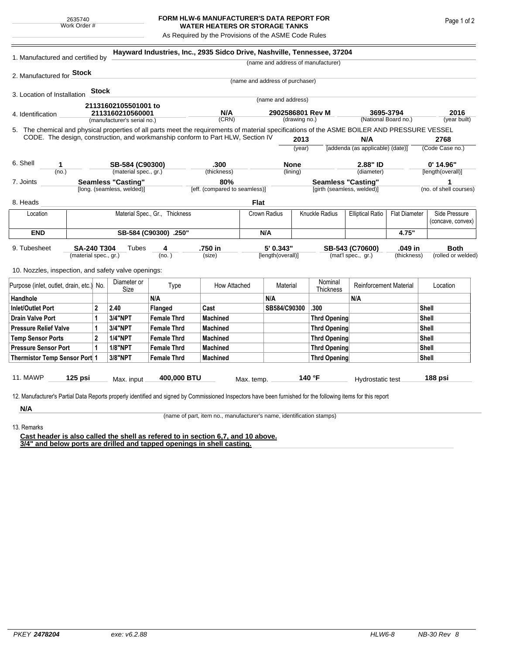## **FORM HLW-6 MANUFACTURER'S DATA REPORT FOR WATER HEATERS OR STORAGE TANKS**

As Required by the Provisions of the ASME Code Rules

|                                                                                                                                                               |                       |                |                                    |                                                                                                                                                               | Hayward Industries, Inc., 2935 Sidco Drive, Nashville, Tennessee, 37204 |                                 |                                |                      |                                  |                                   |                      |                        |                                    |  |
|---------------------------------------------------------------------------------------------------------------------------------------------------------------|-----------------------|----------------|------------------------------------|---------------------------------------------------------------------------------------------------------------------------------------------------------------|-------------------------------------------------------------------------|---------------------------------|--------------------------------|----------------------|----------------------------------|-----------------------------------|----------------------|------------------------|------------------------------------|--|
| 1. Manufactured and certified by                                                                                                                              |                       |                | (name and address of manufacturer) |                                                                                                                                                               |                                                                         |                                 |                                |                      |                                  |                                   |                      |                        |                                    |  |
| 2. Manufactured for <b>Stock</b>                                                                                                                              |                       |                |                                    |                                                                                                                                                               |                                                                         |                                 |                                |                      |                                  |                                   |                      |                        |                                    |  |
|                                                                                                                                                               |                       |                |                                    |                                                                                                                                                               |                                                                         | (name and address of purchaser) |                                |                      |                                  |                                   |                      |                        |                                    |  |
| 3. Location of Installation                                                                                                                                   |                       | <b>Stock</b>   |                                    |                                                                                                                                                               |                                                                         |                                 | (name and address)             |                      |                                  |                                   |                      |                        |                                    |  |
|                                                                                                                                                               |                       |                | 21131602105501001 to               |                                                                                                                                                               |                                                                         |                                 |                                |                      |                                  |                                   |                      |                        |                                    |  |
| 4. Identification                                                                                                                                             |                       |                | 2113160210560001                   |                                                                                                                                                               | N/A<br>(CRN)                                                            | 2902586801 Rev M                |                                | (National Board no.) |                                  | 3695-3794                         |                      | 2016<br>(year built)   |                                    |  |
| (manufacturer's serial no.)                                                                                                                                   |                       |                |                                    | (drawing no.)<br>5. The chemical and physical properties of all parts meet the requirements of material specifications of the ASME BOILER AND PRESSURE VESSEL |                                                                         |                                 |                                |                      |                                  |                                   |                      |                        |                                    |  |
| CODE. The design, construction, and workmanship conform to Part HLW, Section IV                                                                               |                       |                |                                    |                                                                                                                                                               |                                                                         | 2013                            |                                |                      | N/A                              |                                   | 2768                 |                        |                                    |  |
|                                                                                                                                                               |                       |                |                                    |                                                                                                                                                               |                                                                         |                                 | (year)                         |                      | [addenda (as applicable) (date)] |                                   | (Code Case no.)      |                        |                                    |  |
| 6. Shell<br>1                                                                                                                                                 |                       |                | SB-584 (C90300)                    |                                                                                                                                                               | .300                                                                    |                                 |                                |                      |                                  | 2.88" ID                          |                      | $0'$ 14.96"            |                                    |  |
| (no.)                                                                                                                                                         |                       |                | (material spec., gr.)              |                                                                                                                                                               | (thickness)                                                             |                                 | <b>None</b><br>(lining)        |                      |                                  | (diameter)                        |                      | [length(overall)]      |                                    |  |
| <b>Seamless "Casting"</b><br>7. Joints                                                                                                                        |                       |                |                                    |                                                                                                                                                               | 80%                                                                     |                                 |                                |                      |                                  | <b>Seamless "Casting"</b>         |                      | 1                      |                                    |  |
|                                                                                                                                                               |                       |                | [long. (seamless, welded)]         |                                                                                                                                                               | [eff. (compared to seamless)]                                           |                                 |                                |                      | [girth (seamless, welded)]       |                                   |                      | (no. of shell courses) |                                    |  |
| 8. Heads                                                                                                                                                      |                       |                |                                    |                                                                                                                                                               |                                                                         | Flat                            |                                |                      |                                  |                                   |                      |                        |                                    |  |
| Location                                                                                                                                                      |                       |                |                                    |                                                                                                                                                               | Material Spec., Gr., Thickness                                          |                                 | Knuckle Radius<br>Crown Radius |                      |                                  | <b>Elliptical Ratio</b>           | <b>Flat Diameter</b> |                        | Side Pressure<br>(concave, convex) |  |
| <b>END</b>                                                                                                                                                    | SB-584 (C90300) .250" |                |                                    |                                                                                                                                                               |                                                                         |                                 | N/A                            |                      |                                  |                                   | 4.75"                |                        |                                    |  |
| 9. Tubesheet<br><b>SA-240 T304</b>                                                                                                                            |                       |                | Tubes                              | 4                                                                                                                                                             | .750 in                                                                 |                                 | 5' 0.343"                      |                      | SB-543 (C70600)                  |                                   | .049 in              |                        | <b>Both</b>                        |  |
| (material spec., gr.)                                                                                                                                         |                       |                |                                    | (no.)                                                                                                                                                         | (size)                                                                  |                                 |                                | [length(overall)]    |                                  | (thickness)<br>(mat'l spec., gr.) |                      |                        | (rolled or welded)                 |  |
| 10. Nozzles, inspection, and safety valve openings:                                                                                                           |                       |                |                                    |                                                                                                                                                               |                                                                         |                                 |                                |                      |                                  |                                   |                      |                        |                                    |  |
| Purpose (inlet, outlet, drain, etc.) No.                                                                                                                      |                       |                | Diameter or                        | Type                                                                                                                                                          | How Attached                                                            |                                 | Material                       |                      | Nominal                          | <b>Reinforcement Material</b>     |                      | Location               |                                    |  |
| Handhole                                                                                                                                                      |                       |                | Size                               | N/A                                                                                                                                                           |                                                                         |                                 | N/A                            |                      | Thickness                        | N/A                               |                      |                        |                                    |  |
| <b>Inlet/Outlet Port</b>                                                                                                                                      |                       | $\overline{2}$ | 2.40                               | Flanged                                                                                                                                                       | Cast                                                                    |                                 | SB584/C90300                   |                      | .300                             |                                   |                      | Shell                  |                                    |  |
| <b>Drain Valve Port</b>                                                                                                                                       |                       | 1              | 3/4"NPT                            | <b>Female Thrd</b>                                                                                                                                            | <b>Machined</b>                                                         |                                 |                                |                      | <b>Thrd Opening</b>              |                                   |                      | <b>Shell</b>           |                                    |  |
| <b>Pressure Relief Valve</b>                                                                                                                                  |                       | $\mathbf{1}$   | 3/4"NPT                            | <b>Female Thrd</b>                                                                                                                                            | <b>Machined</b>                                                         |                                 |                                |                      | <b>Thrd Opening</b>              |                                   |                      | <b>Shell</b>           |                                    |  |
| <b>Temp Sensor Ports</b>                                                                                                                                      |                       | $\mathbf{2}$   | <b>1/4"NPT</b>                     | <b>Female Thrd</b>                                                                                                                                            | <b>Machined</b>                                                         |                                 |                                |                      | <b>Thrd Opening</b>              |                                   |                      | <b>Shell</b>           |                                    |  |
| <b>Pressure Sensor Port</b>                                                                                                                                   |                       | $\mathbf{1}$   | <b>1/8"NPT</b>                     | <b>Female Thrd</b>                                                                                                                                            | <b>Machined</b>                                                         |                                 |                                |                      | <b>Thrd Opening</b>              |                                   | <b>Shell</b>         |                        |                                    |  |
| Thermistor Temp Sensor Port 1                                                                                                                                 |                       |                | 3/8"NPT                            | <b>Female Thrd</b>                                                                                                                                            | <b>Machined</b>                                                         |                                 |                                |                      | <b>Thrd Opening</b>              |                                   |                      | <b>Shell</b>           |                                    |  |
|                                                                                                                                                               |                       |                |                                    |                                                                                                                                                               |                                                                         |                                 |                                |                      |                                  |                                   |                      |                        |                                    |  |
| <b>11. MAWP</b>                                                                                                                                               | $125$ psi             |                | Max. input                         | 400,000 BTU                                                                                                                                                   |                                                                         | Max. temp.                      |                                |                      | 140 °F                           | Hydrostatic test                  |                      | 188 psi                |                                    |  |
|                                                                                                                                                               |                       |                |                                    |                                                                                                                                                               |                                                                         |                                 |                                |                      |                                  |                                   |                      |                        |                                    |  |
| 12. Manufacturer's Partial Data Reports properly identified and signed by Commissioned Inspectors have been furnished for the following items for this report |                       |                |                                    |                                                                                                                                                               |                                                                         |                                 |                                |                      |                                  |                                   |                      |                        |                                    |  |
| N/A                                                                                                                                                           |                       |                |                                    |                                                                                                                                                               |                                                                         |                                 |                                |                      |                                  |                                   |                      |                        |                                    |  |

13. Remarks

(name of part, item no., manufacturer's name, identification stamps)

**Cast header is also called the shell as refered to in section 6,7, and 10 above. 3/4" and below ports are drilled and tapped openings in shell casting.**